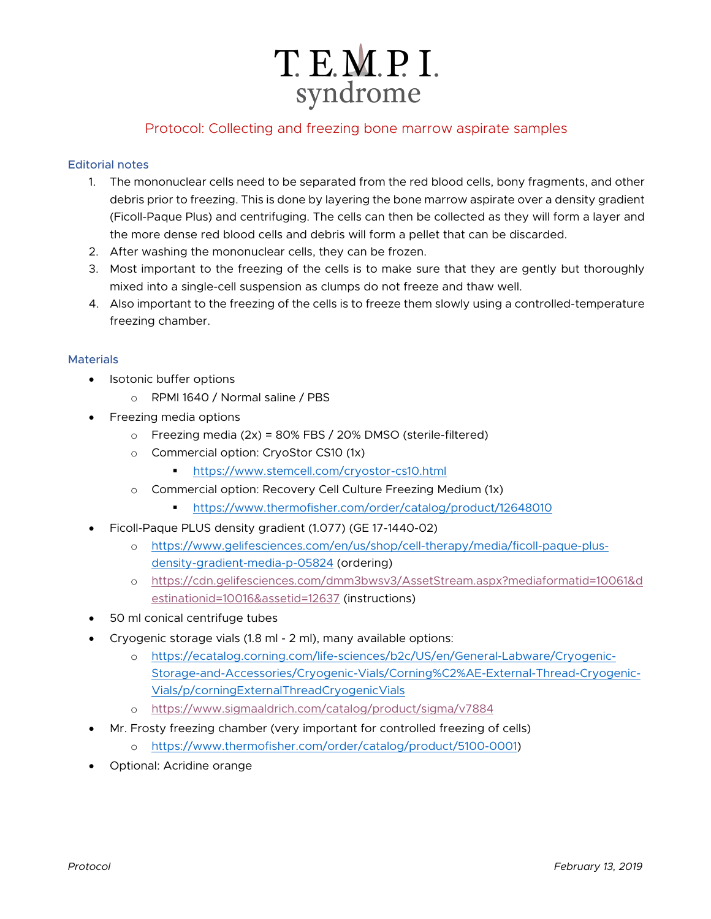# T. E.M.P. I. syndrome

# Protocol: Collecting and freezing bone marrow aspirate samples

## Editorial notes

- 1. The mononuclear cells need to be separated from the red blood cells, bony fragments, and other debris prior to freezing. This is done by layering the bone marrow aspirate over a density gradient (Ficoll-Paque Plus) and centrifuging. The cells can then be collected as they will form a layer and the more dense red blood cells and debris will form a pellet that can be discarded.
- 2. After washing the mononuclear cells, they can be frozen.
- 3. Most important to the freezing of the cells is to make sure that they are gently but thoroughly mixed into a single-cell suspension as clumps do not freeze and thaw well.
- 4. Also important to the freezing of the cells is to freeze them slowly using a controlled-temperature freezing chamber.

### **Materials**

- Isotonic buffer options
	- o RPMI 1640 / Normal saline / PBS
- Freezing media options
	- $\circ$  Freezing media (2x) = 80% FBS / 20% DMSO (sterile-filtered)
	- o Commercial option: CryoStor CS10 (1x)
		- § https://www.stemcell.com/cryostor-cs10.html
	- Commercial option: Recovery Cell Culture Freezing Medium (1x)
		- § https://www.thermofisher.com/order/catalog/product/12648010
- Ficoll-Paque PLUS density gradient (1.077) (GE 17-1440-02)
	- o https://www.gelifesciences.com/en/us/shop/cell-therapy/media/ficoll-paque-plusdensity-gradient-media-p-05824 (ordering)
	- o https://cdn.gelifesciences.com/dmm3bwsv3/AssetStream.aspx?mediaformatid=10061&d estinationid=10016&assetid=12637 (instructions)
- 50 ml conical centrifuge tubes
- Cryogenic storage vials (1.8 ml 2 ml), many available options:
	- o https://ecatalog.corning.com/life-sciences/b2c/US/en/General-Labware/Cryogenic-Storage-and-Accessories/Cryogenic-Vials/Corning%C2%AE-External-Thread-Cryogenic-Vials/p/corningExternalThreadCryogenicVials
	- o https://www.sigmaaldrich.com/catalog/product/sigma/v7884
- Mr. Frosty freezing chamber (very important for controlled freezing of cells)
	- o https://www.thermofisher.com/order/catalog/product/5100-0001)
- Optional: Acridine orange